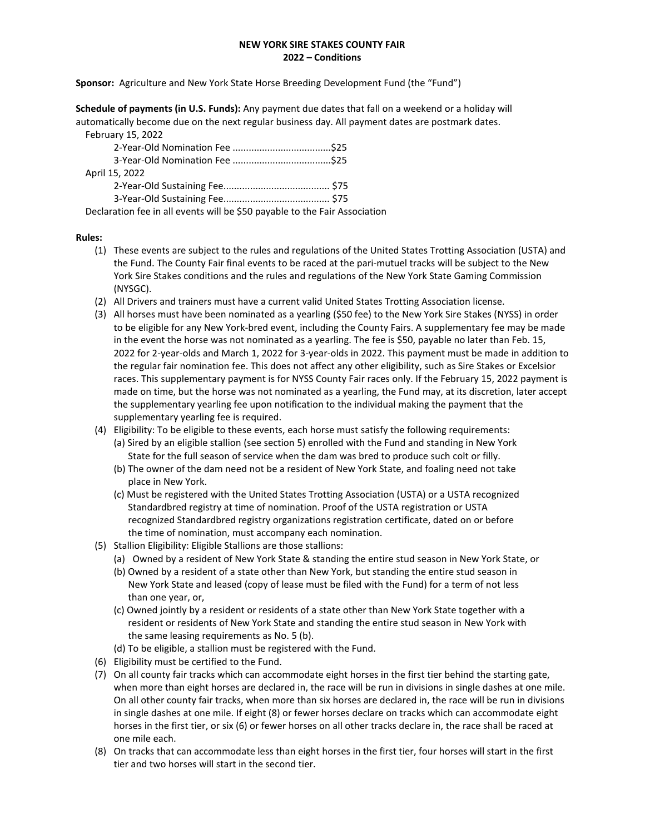## **NEW YORK SIRE STAKES COUNTY FAIR 2022 – Conditions**

**Sponsor:** Agriculture and New York State Horse Breeding Development Fund (the "Fund")

**Schedule of payments (in U.S. Funds):** Any payment due dates that fall on a weekend or a holiday will automatically become due on the next regular business day. All payment dates are postmark dates.

| February 15, 2022                                                          |  |
|----------------------------------------------------------------------------|--|
|                                                                            |  |
|                                                                            |  |
| April 15, 2022                                                             |  |
|                                                                            |  |
|                                                                            |  |
| Declaration fee in all events will be \$50 payable to the Fair Association |  |

## **Rules:**

- (1) These events are subject to the rules and regulations of the United States Trotting Association (USTA) and the Fund. The County Fair final events to be raced at the pari-mutuel tracks will be subject to the New York Sire Stakes conditions and the rules and regulations of the New York State Gaming Commission (NYSGC).
- (2) All Drivers and trainers must have a current valid United States Trotting Association license.
- (3) All horses must have been nominated as a yearling (\$50 fee) to the New York Sire Stakes (NYSS) in order to be eligible for any New York-bred event, including the County Fairs. A supplementary fee may be made in the event the horse was not nominated as a yearling. The fee is \$50, payable no later than Feb. 15, 2022 for 2-year-olds and March 1, 2022 for 3-year-olds in 2022. This payment must be made in addition to the regular fair nomination fee. This does not affect any other eligibility, such as Sire Stakes or Excelsior races. This supplementary payment is for NYSS County Fair races only. If the February 15, 2022 payment is made on time, but the horse was not nominated as a yearling, the Fund may, at its discretion, later accept the supplementary yearling fee upon notification to the individual making the payment that the supplementary yearling fee is required.
- (4) Eligibility: To be eligible to these events, each horse must satisfy the following requirements:
	- (a) Sired by an eligible stallion (see section 5) enrolled with the Fund and standing in New York State for the full season of service when the dam was bred to produce such colt or filly.
	- (b) The owner of the dam need not be a resident of New York State, and foaling need not take place in New York.
	- (c) Must be registered with the United States Trotting Association (USTA) or a USTA recognized Standardbred registry at time of nomination. Proof of the USTA registration or USTA recognized Standardbred registry organizations registration certificate, dated on or before the time of nomination, must accompany each nomination.
- (5) Stallion Eligibility: Eligible Stallions are those stallions:
	- (a) Owned by a resident of New York State & standing the entire stud season in New York State, or
	- (b) Owned by a resident of a state other than New York, but standing the entire stud season in New York State and leased (copy of lease must be filed with the Fund) for a term of not less than one year, or,
	- (c) Owned jointly by a resident or residents of a state other than New York State together with a resident or residents of New York State and standing the entire stud season in New York with the same leasing requirements as No. 5 (b).
	- (d) To be eligible, a stallion must be registered with the Fund.
- (6) Eligibility must be certified to the Fund.
- (7) On all county fair tracks which can accommodate eight horses in the first tier behind the starting gate, when more than eight horses are declared in, the race will be run in divisions in single dashes at one mile. On all other county fair tracks, when more than six horses are declared in, the race will be run in divisions in single dashes at one mile. If eight (8) or fewer horses declare on tracks which can accommodate eight horses in the first tier, or six (6) or fewer horses on all other tracks declare in, the race shall be raced at one mile each.
- (8) On tracks that can accommodate less than eight horses in the first tier, four horses will start in the first tier and two horses will start in the second tier.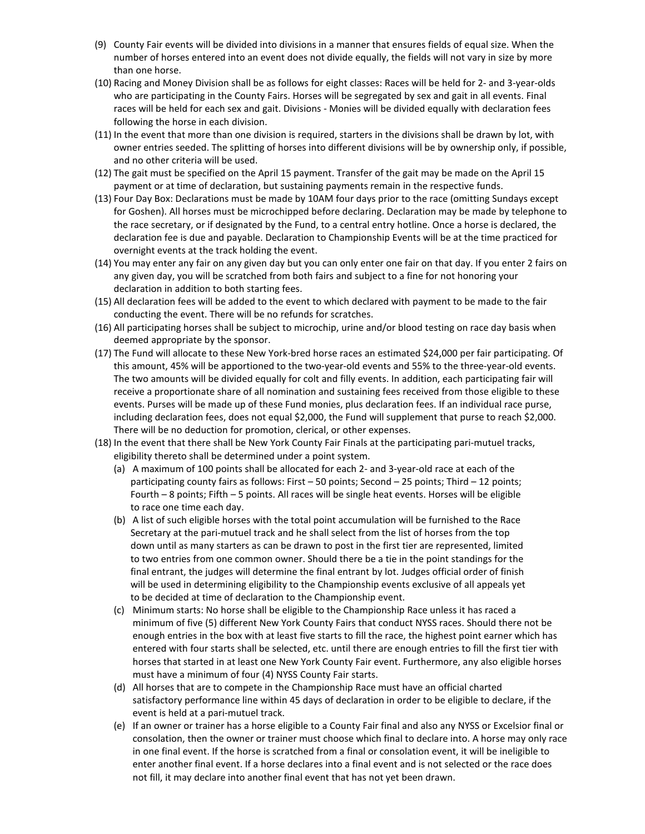- (9) County Fair events will be divided into divisions in a manner that ensures fields of equal size. When the number of horses entered into an event does not divide equally, the fields will not vary in size by more than one horse.
- (10) Racing and Money Division shall be as follows for eight classes: Races will be held for 2- and 3-year-olds who are participating in the County Fairs. Horses will be segregated by sex and gait in all events. Final races will be held for each sex and gait. Divisions - Monies will be divided equally with declaration fees following the horse in each division.
- (11) In the event that more than one division is required, starters in the divisions shall be drawn by lot, with owner entries seeded. The splitting of horses into different divisions will be by ownership only, if possible, and no other criteria will be used.
- (12) The gait must be specified on the April 15 payment. Transfer of the gait may be made on the April 15 payment or at time of declaration, but sustaining payments remain in the respective funds.
- (13) Four Day Box: Declarations must be made by 10AM four days prior to the race (omitting Sundays except for Goshen). All horses must be microchipped before declaring. Declaration may be made by telephone to the race secretary, or if designated by the Fund, to a central entry hotline. Once a horse is declared, the declaration fee is due and payable. Declaration to Championship Events will be at the time practiced for overnight events at the track holding the event.
- (14) You may enter any fair on any given day but you can only enter one fair on that day. If you enter 2 fairs on any given day, you will be scratched from both fairs and subject to a fine for not honoring your declaration in addition to both starting fees.
- (15) All declaration fees will be added to the event to which declared with payment to be made to the fair conducting the event. There will be no refunds for scratches.
- (16) All participating horses shall be subject to microchip, urine and/or blood testing on race day basis when deemed appropriate by the sponsor.
- (17) The Fund will allocate to these New York-bred horse races an estimated \$24,000 per fair participating. Of this amount, 45% will be apportioned to the two-year-old events and 55% to the three-year-old events. The two amounts will be divided equally for colt and filly events. In addition, each participating fair will receive a proportionate share of all nomination and sustaining fees received from those eligible to these events. Purses will be made up of these Fund monies, plus declaration fees. If an individual race purse, including declaration fees, does not equal \$2,000, the Fund will supplement that purse to reach \$2,000. There will be no deduction for promotion, clerical, or other expenses.
- (18) In the event that there shall be New York County Fair Finals at the participating pari-mutuel tracks, eligibility thereto shall be determined under a point system.
	- (a) A maximum of 100 points shall be allocated for each 2- and 3-year-old race at each of the participating county fairs as follows: First – 50 points; Second – 25 points; Third – 12 points; Fourth – 8 points; Fifth – 5 points. All races will be single heat events. Horses will be eligible to race one time each day.
	- (b) A list of such eligible horses with the total point accumulation will be furnished to the Race Secretary at the pari-mutuel track and he shall select from the list of horses from the top down until as many starters as can be drawn to post in the first tier are represented, limited to two entries from one common owner. Should there be a tie in the point standings for the final entrant, the judges will determine the final entrant by lot. Judges official order of finish will be used in determining eligibility to the Championship events exclusive of all appeals yet to be decided at time of declaration to the Championship event.
	- (c) Minimum starts: No horse shall be eligible to the Championship Race unless it has raced a minimum of five (5) different New York County Fairs that conduct NYSS races. Should there not be enough entries in the box with at least five starts to fill the race, the highest point earner which has entered with four starts shall be selected, etc. until there are enough entries to fill the first tier with horses that started in at least one New York County Fair event. Furthermore, any also eligible horses must have a minimum of four (4) NYSS County Fair starts.
	- (d) All horses that are to compete in the Championship Race must have an official charted satisfactory performance line within 45 days of declaration in order to be eligible to declare, if the event is held at a pari-mutuel track.
	- (e) If an owner or trainer has a horse eligible to a County Fair final and also any NYSS or Excelsior final or consolation, then the owner or trainer must choose which final to declare into. A horse may only race in one final event. If the horse is scratched from a final or consolation event, it will be ineligible to enter another final event. If a horse declares into a final event and is not selected or the race does not fill, it may declare into another final event that has not yet been drawn.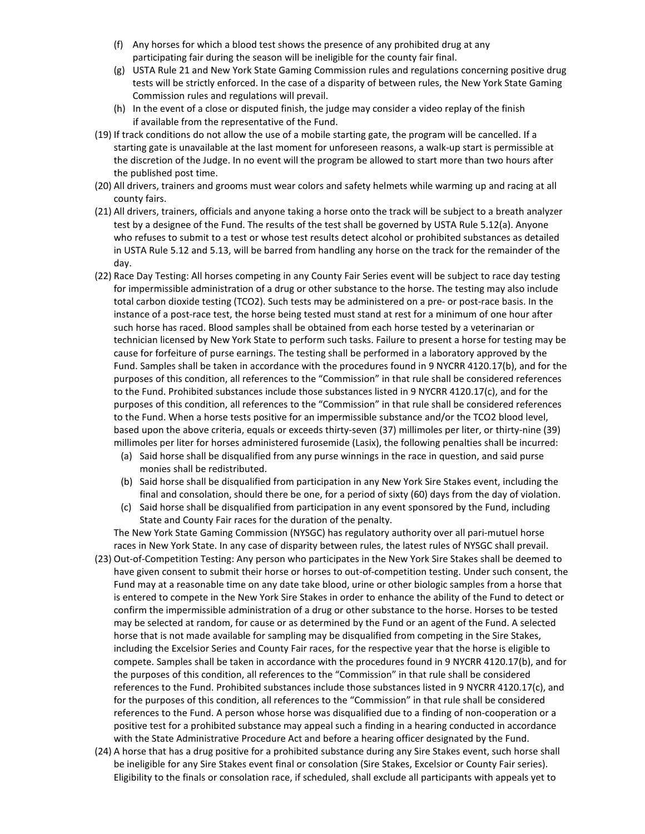- (f) Any horses for which a blood test shows the presence of any prohibited drug at any participating fair during the season will be ineligible for the county fair final.
- (g) USTA Rule 21 and New York State Gaming Commission rules and regulations concerning positive drug tests will be strictly enforced. In the case of a disparity of between rules, the New York State Gaming Commission rules and regulations will prevail.
- (h) In the event of a close or disputed finish, the judge may consider a video replay of the finish if available from the representative of the Fund.
- (19) If track conditions do not allow the use of a mobile starting gate, the program will be cancelled. If a starting gate is unavailable at the last moment for unforeseen reasons, a walk-up start is permissible at the discretion of the Judge. In no event will the program be allowed to start more than two hours after the published post time.
- (20) All drivers, trainers and grooms must wear colors and safety helmets while warming up and racing at all county fairs.
- (21) All drivers, trainers, officials and anyone taking a horse onto the track will be subject to a breath analyzer test by a designee of the Fund. The results of the test shall be governed by USTA Rule 5.12(a). Anyone who refuses to submit to a test or whose test results detect alcohol or prohibited substances as detailed in USTA Rule 5.12 and 5.13, will be barred from handling any horse on the track for the remainder of the day.
- (22) Race Day Testing: All horses competing in any County Fair Series event will be subject to race day testing for impermissible administration of a drug or other substance to the horse. The testing may also include total carbon dioxide testing (TCO2). Such tests may be administered on a pre- or post-race basis. In the instance of a post-race test, the horse being tested must stand at rest for a minimum of one hour after such horse has raced. Blood samples shall be obtained from each horse tested by a veterinarian or technician licensed by New York State to perform such tasks. Failure to present a horse for testing may be cause for forfeiture of purse earnings. The testing shall be performed in a laboratory approved by the Fund. Samples shall be taken in accordance with the procedures found in 9 NYCRR 4120.17(b), and for the purposes of this condition, all references to the "Commission" in that rule shall be considered references to the Fund. Prohibited substances include those substances listed in 9 NYCRR 4120.17(c), and for the purposes of this condition, all references to the "Commission" in that rule shall be considered references to the Fund. When a horse tests positive for an impermissible substance and/or the TCO2 blood level, based upon the above criteria, equals or exceeds thirty-seven (37) millimoles per liter, or thirty-nine (39) millimoles per liter for horses administered furosemide (Lasix), the following penalties shall be incurred:
	- (a) Said horse shall be disqualified from any purse winnings in the race in question, and said purse monies shall be redistributed.
	- (b) Said horse shall be disqualified from participation in any New York Sire Stakes event, including the final and consolation, should there be one, for a period of sixty (60) days from the day of violation.
	- (c) Said horse shall be disqualified from participation in any event sponsored by the Fund, including State and County Fair races for the duration of the penalty.

The New York State Gaming Commission (NYSGC) has regulatory authority over all pari-mutuel horse races in New York State. In any case of disparity between rules, the latest rules of NYSGC shall prevail.

- (23) Out-of-Competition Testing: Any person who participates in the New York Sire Stakes shall be deemed to have given consent to submit their horse or horses to out-of-competition testing. Under such consent, the Fund may at a reasonable time on any date take blood, urine or other biologic samples from a horse that is entered to compete in the New York Sire Stakes in order to enhance the ability of the Fund to detect or confirm the impermissible administration of a drug or other substance to the horse. Horses to be tested may be selected at random, for cause or as determined by the Fund or an agent of the Fund. A selected horse that is not made available for sampling may be disqualified from competing in the Sire Stakes, including the Excelsior Series and County Fair races, for the respective year that the horse is eligible to compete. Samples shall be taken in accordance with the procedures found in 9 NYCRR 4120.17(b), and for the purposes of this condition, all references to the "Commission" in that rule shall be considered references to the Fund. Prohibited substances include those substances listed in 9 NYCRR 4120.17(c), and for the purposes of this condition, all references to the "Commission" in that rule shall be considered references to the Fund. A person whose horse was disqualified due to a finding of non-cooperation or a positive test for a prohibited substance may appeal such a finding in a hearing conducted in accordance with the State Administrative Procedure Act and before a hearing officer designated by the Fund.
- (24) A horse that has a drug positive for a prohibited substance during any Sire Stakes event, such horse shall be ineligible for any Sire Stakes event final or consolation (Sire Stakes, Excelsior or County Fair series). Eligibility to the finals or consolation race, if scheduled, shall exclude all participants with appeals yet to